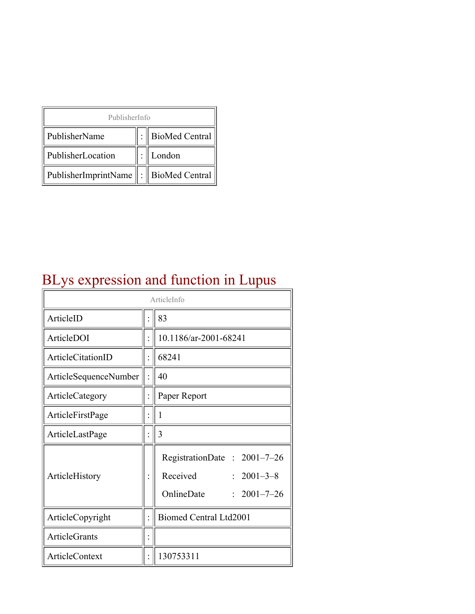| PublisherInfo                               |  |                |  |  |
|---------------------------------------------|--|----------------|--|--|
| PublisherName                               |  | BioMed Central |  |  |
| PublisherLocation                           |  | London         |  |  |
| PublisherImprintName    :    BioMed Central |  |                |  |  |

## BLys expression and function in Lupus

| ArticleInfo              |  |                                                                                                |
|--------------------------|--|------------------------------------------------------------------------------------------------|
| ArticleID                |  | 83                                                                                             |
| ArticleDOI               |  | 10.1186/ar-2001-68241                                                                          |
| <b>ArticleCitationID</b> |  | 68241                                                                                          |
| ArticleSequenceNumber    |  | 40                                                                                             |
| ArticleCategory          |  | Paper Report                                                                                   |
| ArticleFirstPage         |  | $\mathbf{1}$                                                                                   |
| ArticleLastPage          |  | 3                                                                                              |
| ArticleHistory           |  | RegistrationDate: 2001-7-26<br>Received<br>$: 2001 - 3 - 8$<br>OnlineDate<br>$: 2001 - 7 - 26$ |
| ArticleCopyright         |  | <b>Biomed Central Ltd2001</b>                                                                  |
| <b>ArticleGrants</b>     |  |                                                                                                |
| ArticleContext           |  | 130753311                                                                                      |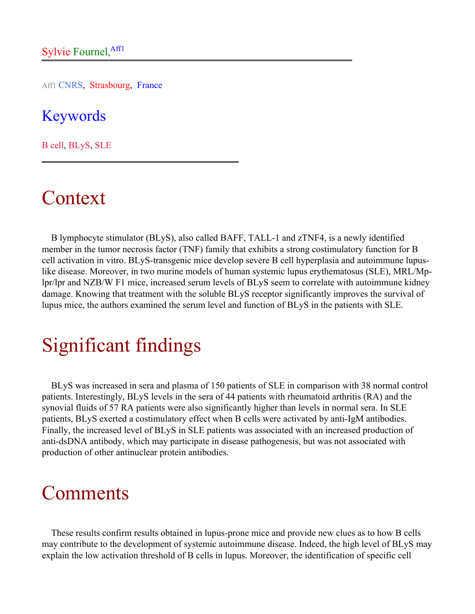Aff1 CNRS, Strasbourg, France

### Keywords

B cell, BLyS, SLE

## Context

B lymphocyte stimulator (BLyS), also called BAFF, TALL-1 and zTNF4, is a newly identified member in the tumor necrosis factor (TNF) family that exhibits a strong costimulatory function for B cell activation in vitro. BLyS-transgenic mice develop severe B cell hyperplasia and autoimmune lupuslike disease. Moreover, in two murine models of human systemic lupus erythematosus (SLE), MRL/Mplpr/lpr and NZB/W F1 mice, increased serum levels of BLyS seem to correlate with autoimmune kidney damage. Knowing that treatment with the soluble BLyS receptor significantly improves the survival of lupus mice, the authors examined the serum level and function of BLyS in the patients with SLE.

## Significant findings

BLyS was increased in sera and plasma of 150 patients of SLE in comparison with 38 normal control patients. Interestingly, BLyS levels in the sera of 44 patients with rheumatoid arthritis (RA) and the synovial fluids of 57 RA patients were also significantly higher than levels in normal sera. In SLE patients, BLyS exerted a costimulatory effect when B cells were activated by anti-IgM antibodies. Finally, the increased level of BLyS in SLE patients was associated with an increased production of anti-dsDNA antibody, which may participate in disease pathogenesis, but was not associated with production of other antinuclear protein antibodies.

### Comments

These results confirm results obtained in lupus-prone mice and provide new clues as to how B cells may contribute to the development of systemic autoimmune disease. Indeed, the high level of BLyS may explain the low activation threshold of B cells in lupus. Moreover, the identification of specific cell